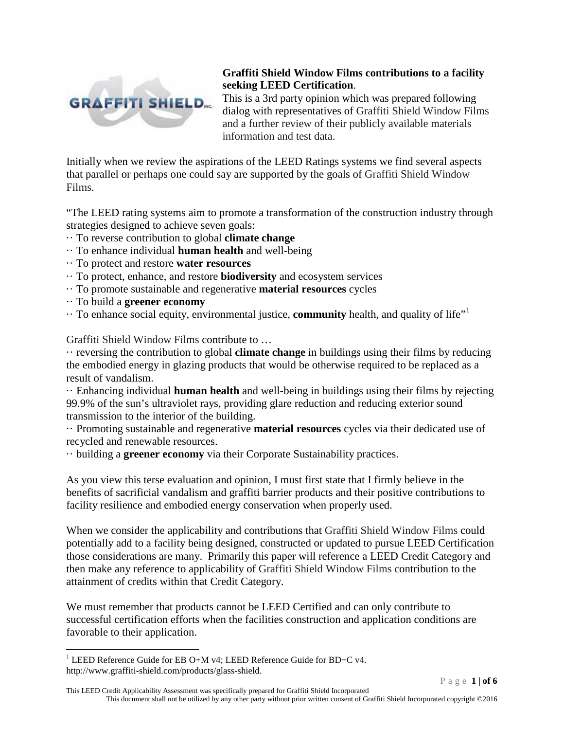

This is a 3rd party opinion which was prepared following dialog with representatives of Graffiti Shield Window Films and a further review of their publicly available materials information and test data.

Initially when we review the aspirations of the LEED Ratings systems we find several aspects that parallel or perhaps one could say are supported by the goals of Graffiti Shield Window Films.

"The LEED rating systems aim to promote a transformation of the construction industry through strategies designed to achieve seven goals:

- ·· To reverse contribution to global **climate change**
- ·· To enhance individual **human health** and well-being
- ·· To protect and restore **water resources**
- ·· To protect, enhance, and restore **biodiversity** and ecosystem services
- ·· To promote sustainable and regenerative **material resources** cycles
- ·· To build a **greener economy**
- $\cdot\cdot$  To enhance social equity, environmental justice, **community** health, and quality of life"<sup>[1](#page-0-0)</sup>

Graffiti Shield Window Films contribute to …

·· reversing the contribution to global **climate change** in buildings using their films by reducing the embodied energy in glazing products that would be otherwise required to be replaced as a result of vandalism.

·· Enhancing individual **human health** and well-being in buildings using their films by rejecting 99.9% of the sun's ultraviolet rays, providing glare reduction and reducing exterior sound transmission to the interior of the building.

·· Promoting sustainable and regenerative **material resources** cycles via their dedicated use of recycled and renewable resources.

·· building a **greener economy** via their Corporate Sustainability practices.

As you view this terse evaluation and opinion, I must first state that I firmly believe in the benefits of sacrificial vandalism and graffiti barrier products and their positive contributions to facility resilience and embodied energy conservation when properly used.

When we consider the applicability and contributions that Graffiti Shield Window Films could potentially add to a facility being designed, constructed or updated to pursue LEED Certification those considerations are many. Primarily this paper will reference a LEED Credit Category and then make any reference to applicability of Graffiti Shield Window Films contribution to the attainment of credits within that Credit Category.

We must remember that products cannot be LEED Certified and can only contribute to successful certification efforts when the facilities construction and application conditions are favorable to their application.

This LEED Credit Applicability Assessment was specifically prepared for Graffiti Shield Incorporated This document shall not be utilized by any other party without prior written consent of Graffiti Shield Incorporated copyright ©2016

<span id="page-0-0"></span><sup>&</sup>lt;sup>1</sup> LEED Reference Guide for EB O+M v4; LEED Reference Guide for BD+C v4. http://www.graffiti-shield.com/products/glass-shield.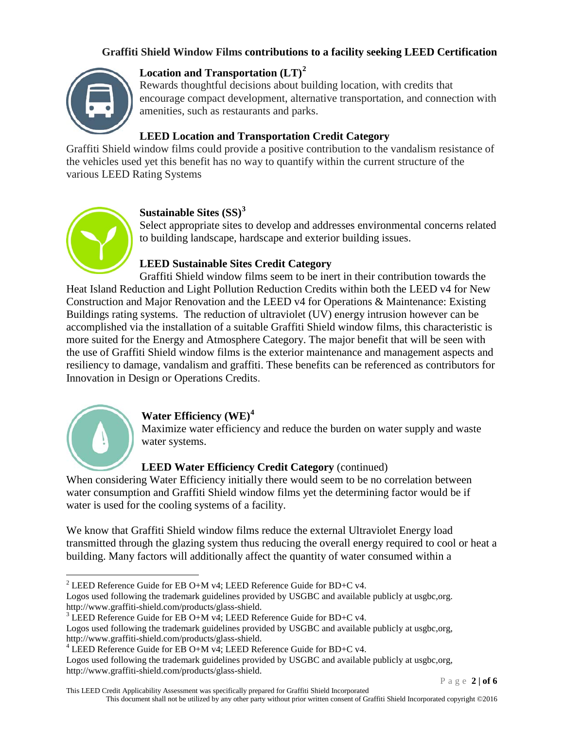

# **Location and Transportation (LT)[2](#page-1-0)**

Rewards thoughtful decisions about building location, with credits that encourage compact development, alternative transportation, and connection with amenities, such as restaurants and parks.

#### **LEED Location and Transportation Credit Category**

Graffiti Shield window films could provide a positive contribution to the vandalism resistance of the vehicles used yet this benefit has no way to quantify within the current structure of the various LEED Rating Systems



#### **Sustainable Sites (SS)[3](#page-1-1)**

Select appropriate sites to develop and addresses environmental concerns related to building landscape, hardscape and exterior building issues.

#### **LEED Sustainable Sites Credit Category**

Graffiti Shield window films seem to be inert in their contribution towards the Heat Island Reduction and Light Pollution Reduction Credits within both the LEED v4 for New Construction and Major Renovation and the LEED v4 for Operations & Maintenance: Existing Buildings rating systems. The reduction of ultraviolet (UV) energy intrusion however can be accomplished via the installation of a suitable Graffiti Shield window films, this characteristic is more suited for the Energy and Atmosphere Category. The major benefit that will be seen with the use of Graffiti Shield window films is the exterior maintenance and management aspects and resiliency to damage, vandalism and graffiti. These benefits can be referenced as contributors for Innovation in Design or Operations Credits.



#### **Water Efficiency (WE)[4](#page-1-2)**

Maximize water efficiency and reduce the burden on water supply and waste water systems.

#### **LEED Water Efficiency Credit Category** (continued)

When considering Water Efficiency initially there would seem to be no correlation between water consumption and Graffiti Shield window films yet the determining factor would be if water is used for the cooling systems of a facility.

We know that Graffiti Shield window films reduce the external Ultraviolet Energy load transmitted through the glazing system thus reducing the overall energy required to cool or heat a building. Many factors will additionally affect the quantity of water consumed within a

Logos used following the trademark guidelines provided by USGBC and available publicly at usgbc,org.<br>http://www.graffiti-shield.com/products/glass-shield.

Logos used following the trademark guidelines provided by USGBC and available publicly at usgbc,org, http://www.graffiti-shield.com/products/glass-shield.

Page **2 | of 6**

<span id="page-1-0"></span><sup>&</sup>lt;sup>2</sup> LEED Reference Guide for EB O+M v4; LEED Reference Guide for BD+C v4.

<span id="page-1-1"></span><sup>&</sup>lt;sup>3</sup> LEED Reference Guide for EB O+M v4; LEED Reference Guide for BD+C v4.

Logos used following the trademark guidelines provided by USGBC and available publicly at usgbc,org, http://www.graffiti-shield.com/products/glass-shield.

<span id="page-1-2"></span> $4$  LEED Reference Guide for EB O+M v4; LEED Reference Guide for BD+C v4.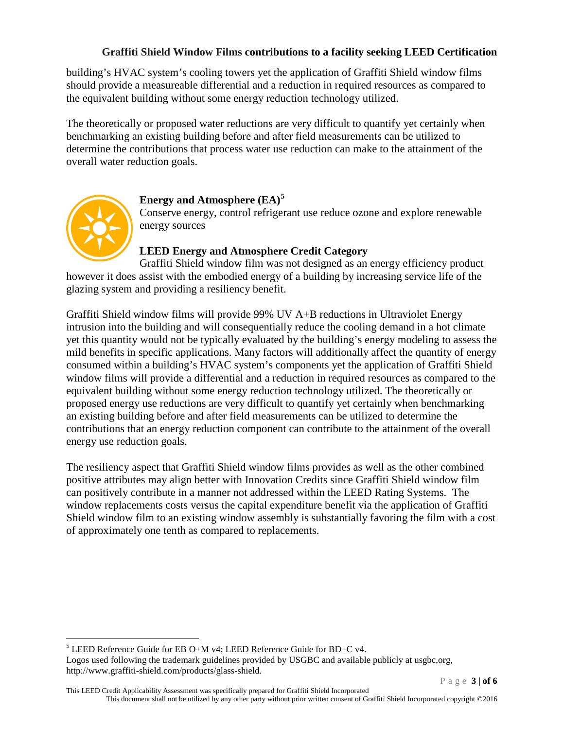building's HVAC system's cooling towers yet the application of Graffiti Shield window films should provide a measureable differential and a reduction in required resources as compared to the equivalent building without some energy reduction technology utilized.

The theoretically or proposed water reductions are very difficult to quantify yet certainly when benchmarking an existing building before and after field measurements can be utilized to determine the contributions that process water use reduction can make to the attainment of the overall water reduction goals.



## **Energy and Atmosphere (EA)[5](#page-2-0)**

Conserve energy, control refrigerant use reduce ozone and explore renewable energy sources

## **LEED Energy and Atmosphere Credit Category**

Graffiti Shield window film was not designed as an energy efficiency product however it does assist with the embodied energy of a building by increasing service life of the glazing system and providing a resiliency benefit.

Graffiti Shield window films will provide 99% UV A+B reductions in Ultraviolet Energy intrusion into the building and will consequentially reduce the cooling demand in a hot climate yet this quantity would not be typically evaluated by the building's energy modeling to assess the mild benefits in specific applications. Many factors will additionally affect the quantity of energy consumed within a building's HVAC system's components yet the application of Graffiti Shield window films will provide a differential and a reduction in required resources as compared to the equivalent building without some energy reduction technology utilized. The theoretically or proposed energy use reductions are very difficult to quantify yet certainly when benchmarking an existing building before and after field measurements can be utilized to determine the contributions that an energy reduction component can contribute to the attainment of the overall energy use reduction goals.

The resiliency aspect that Graffiti Shield window films provides as well as the other combined positive attributes may align better with Innovation Credits since Graffiti Shield window film can positively contribute in a manner not addressed within the LEED Rating Systems. The window replacements costs versus the capital expenditure benefit via the application of Graffiti Shield window film to an existing window assembly is substantially favoring the film with a cost of approximately one tenth as compared to replacements.

Logos used following the trademark guidelines provided by USGBC and available publicly at usgbc,org, http://www.graffiti-shield.com/products/glass-shield.

<span id="page-2-0"></span> $5$  LEED Reference Guide for EB O+M v4; LEED Reference Guide for BD+C v4.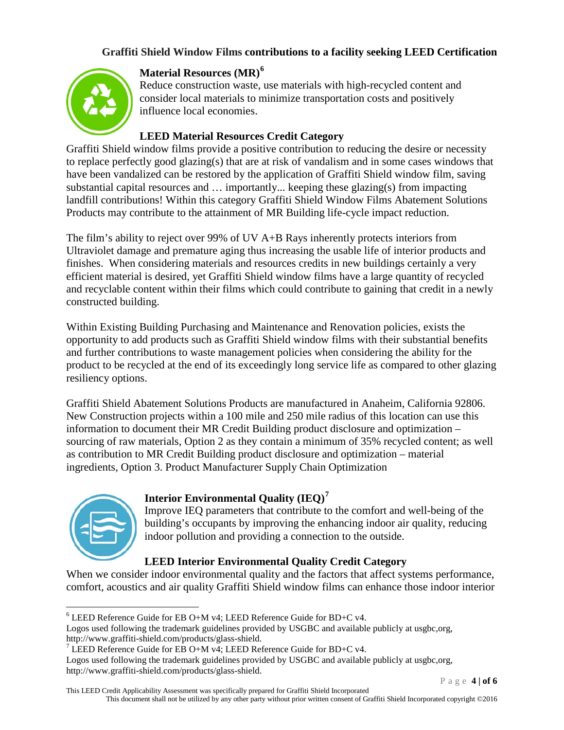

## **Material Resources (MR)[6](#page-3-0)**

Reduce construction waste, use materials with high-recycled content and consider local materials to minimize transportation costs and positively influence local economies.

## **LEED Material Resources Credit Category**

Graffiti Shield window films provide a positive contribution to reducing the desire or necessity to replace perfectly good glazing(s) that are at risk of vandalism and in some cases windows that have been vandalized can be restored by the application of Graffiti Shield window film, saving substantial capital resources and … importantly... keeping these glazing(s) from impacting landfill contributions! Within this category Graffiti Shield Window Films Abatement Solutions Products may contribute to the attainment of MR Building life-cycle impact reduction.

The film's ability to reject over 99% of UV A+B Rays inherently protects interiors from Ultraviolet damage and premature aging thus increasing the usable life of interior products and finishes. When considering materials and resources credits in new buildings certainly a very efficient material is desired, yet Graffiti Shield window films have a large quantity of recycled and recyclable content within their films which could contribute to gaining that credit in a newly constructed building.

Within Existing Building Purchasing and Maintenance and Renovation policies, exists the opportunity to add products such as Graffiti Shield window films with their substantial benefits and further contributions to waste management policies when considering the ability for the product to be recycled at the end of its exceedingly long service life as compared to other glazing resiliency options.

Graffiti Shield Abatement Solutions Products are manufactured in Anaheim, California 92806. New Construction projects within a 100 mile and 250 mile radius of this location can use this information to document their MR Credit Building product disclosure and optimization – sourcing of raw materials, Option 2 as they contain a minimum of 35% recycled content; as well as contribution to MR Credit Building product disclosure and optimization – material ingredients, Option 3. Product Manufacturer Supply Chain Optimization



# **Interior Environmental Quality (IEQ)[7](#page-3-1)**

Improve IEQ parameters that contribute to the comfort and well-being of the building's occupants by improving the enhancing indoor air quality, reducing indoor pollution and providing a connection to the outside.

# **LEED Interior Environmental Quality Credit Category**

When we consider indoor environmental quality and the factors that affect systems performance, comfort, acoustics and air quality Graffiti Shield window films can enhance those indoor interior

Logos used following the trademark guidelines provided by USGBC and available publicly at usgbc,org, http://www.graffiti-shield.com/products/glass-shield.

Logos used following the trademark guidelines provided by USGBC and available publicly at usgbc,org, http://www.graffiti-shield.com/products/glass-shield.

<span id="page-3-0"></span> $6$  LEED Reference Guide for EB O+M v4; LEED Reference Guide for BD+C v4.

<span id="page-3-1"></span><sup>&</sup>lt;sup>7</sup> LEED Reference Guide for EB O+M v4; LEED Reference Guide for BD+C v4.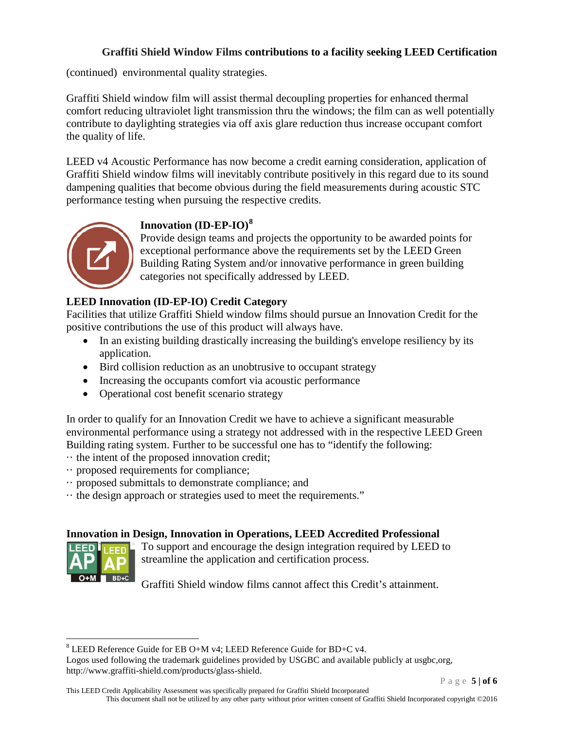(continued) environmental quality strategies.

Graffiti Shield window film will assist thermal decoupling properties for enhanced thermal comfort reducing ultraviolet light transmission thru the windows; the film can as well potentially contribute to daylighting strategies via off axis glare reduction thus increase occupant comfort the quality of life.

LEED v4 Acoustic Performance has now become a credit earning consideration, application of Graffiti Shield window films will inevitably contribute positively in this regard due to its sound dampening qualities that become obvious during the field measurements during acoustic STC performance testing when pursuing the respective credits.



# **Innovation (ID-EP-IO)[8](#page-4-0)**

Provide design teams and projects the opportunity to be awarded points for exceptional performance above the requirements set by the LEED Green Building Rating System and/or innovative performance in green building categories not specifically addressed by LEED.

# **LEED Innovation (ID-EP-IO) Credit Category**

Facilities that utilize Graffiti Shield window films should pursue an Innovation Credit for the positive contributions the use of this product will always have.

- In an existing building drastically increasing the building's envelope resiliency by its application.
- Bird collision reduction as an unobtrusive to occupant strategy
- Increasing the occupants comfort via acoustic performance
- Operational cost benefit scenario strategy

In order to qualify for an Innovation Credit we have to achieve a significant measurable environmental performance using a strategy not addressed with in the respective LEED Green Building rating system. Further to be successful one has to "identify the following:

- $\cdot\cdot$  the intent of the proposed innovation credit;
- ·· proposed requirements for compliance;
- ·· proposed submittals to demonstrate compliance; and
- ·· the design approach or strategies used to meet the requirements."

#### **Innovation in Design, Innovation in Operations, LEED Accredited Professional**



To support and encourage the design integration required by LEED to streamline the application and certification process.

Graffiti Shield window films cannot affect this Credit's attainment.

Page **5 | of 6**

<span id="page-4-0"></span> <sup>8</sup> LEED Reference Guide for EB O+M v4; LEED Reference Guide for BD+C v4.

Logos used following the trademark guidelines provided by USGBC and available publicly at usgbc,org, http://www.graffiti-shield.com/products/glass-shield.